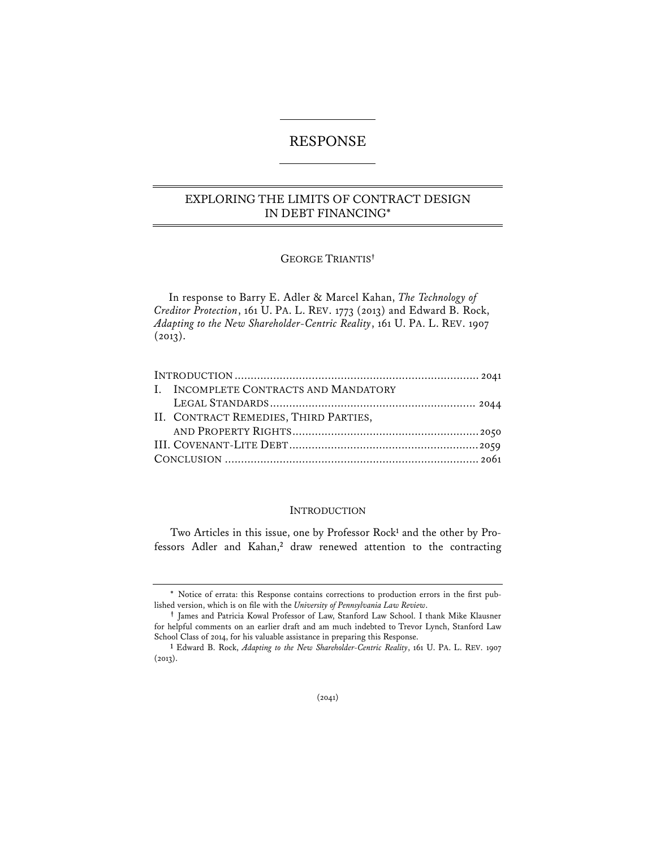# RESPONSE

## EXPLORING THE LIMITS OF CONTRACT DESIGN IN DEBT FINANCING\*

## GEORGE TRIANTIS**†**

In response to Barry E. Adler & Marcel Kahan, *The Technology of Creditor Protection*, 161 U. PA. L. REV. 1773 (2013) and Edward B. Rock, *Adapting to the New Shareholder-Centric Reality*, 161 U. PA. L. REV. 1907  $(2013).$ 

| I. INCOMPLETE CONTRACTS AND MANDATORY |  |
|---------------------------------------|--|
|                                       |  |
| II. CONTRACT REMEDIES, THIRD PARTIES, |  |
|                                       |  |
|                                       |  |
|                                       |  |
|                                       |  |

#### INTRODUCTION

Two Articles in this issue, one by Professor Rock<sup>1</sup> and the other by Professors Adler and Kahan,**<sup>2</sup>** draw renewed attention to the contracting

<sup>\*</sup> Notice of errata: this Response contains corrections to production errors in the first published version, which is on \*le with the *University of Pennsylvania Law Review*.

**<sup>†</sup>** James and Patricia Kowal Professor of Law, Stanford Law School. I thank Mike Klausner for helpful comments on an earlier draft and am much indebted to Trevor Lynch, Stanford Law School Class of 2014, for his valuable assistance in preparing this Response.

**<sup>1</sup>** Edward B. Rock, *Adapting to the New Shareholder-Centric Reality*, 161 U. PA. L. REV. 1907 (2013).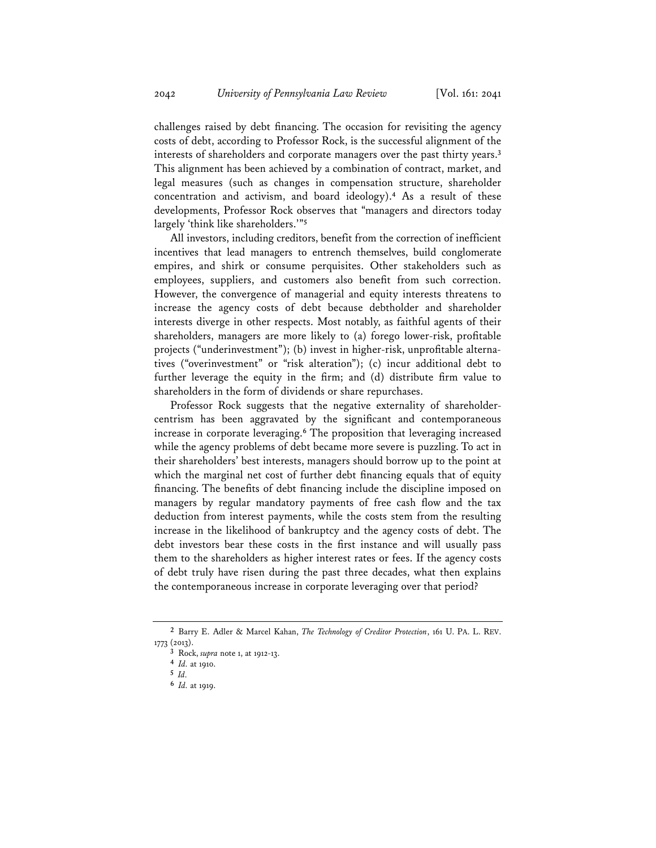challenges raised by debt financing. The occasion for revisiting the agency costs of debt, according to Professor Rock, is the successful alignment of the interests of shareholders and corporate managers over the past thirty years.**<sup>3</sup>** This alignment has been achieved by a combination of contract, market, and legal measures (such as changes in compensation structure, shareholder concentration and activism, and board ideology).**<sup>4</sup>** As a result of these developments, Professor Rock observes that "managers and directors today largely 'think like shareholders.'"**<sup>5</sup>**

All investors, including creditors, benefit from the correction of inefficient incentives that lead managers to entrench themselves, build conglomerate empires, and shirk or consume perquisites. Other stakeholders such as employees, suppliers, and customers also benefit from such correction. However, the convergence of managerial and equity interests threatens to increase the agency costs of debt because debtholder and shareholder interests diverge in other respects. Most notably, as faithful agents of their shareholders, managers are more likely to (a) forego lower-risk, profitable projects ("underinvestment"); (b) invest in higher-risk, unprofitable alternatives ("overinvestment" or "risk alteration"); (c) incur additional debt to further leverage the equity in the firm; and  $(d)$  distribute firm value to shareholders in the form of dividends or share repurchases.

Professor Rock suggests that the negative externality of shareholdercentrism has been aggravated by the significant and contemporaneous increase in corporate leveraging.**<sup>6</sup>** The proposition that leveraging increased while the agency problems of debt became more severe is puzzling. To act in their shareholders' best interests, managers should borrow up to the point at which the marginal net cost of further debt financing equals that of equity financing. The benefits of debt financing include the discipline imposed on managers by regular mandatory payments of free cash flow and the tax deduction from interest payments, while the costs stem from the resulting increase in the likelihood of bankruptcy and the agency costs of debt. The debt investors bear these costs in the first instance and will usually pass them to the shareholders as higher interest rates or fees. If the agency costs of debt truly have risen during the past three decades, what then explains the contemporaneous increase in corporate leveraging over that period?

**<sup>2</sup>** Barry E. Adler & Marcel Kahan, *The Technology of Creditor Protection*, 161 U. PA. L. REV. 1773 (2013).

**<sup>3</sup>** Rock, *supra* note 1, at 1912-13.

**<sup>4</sup>** *Id.* at 1910.

**<sup>5</sup>** *Id.*

**<sup>6</sup>** *Id.* at 1919.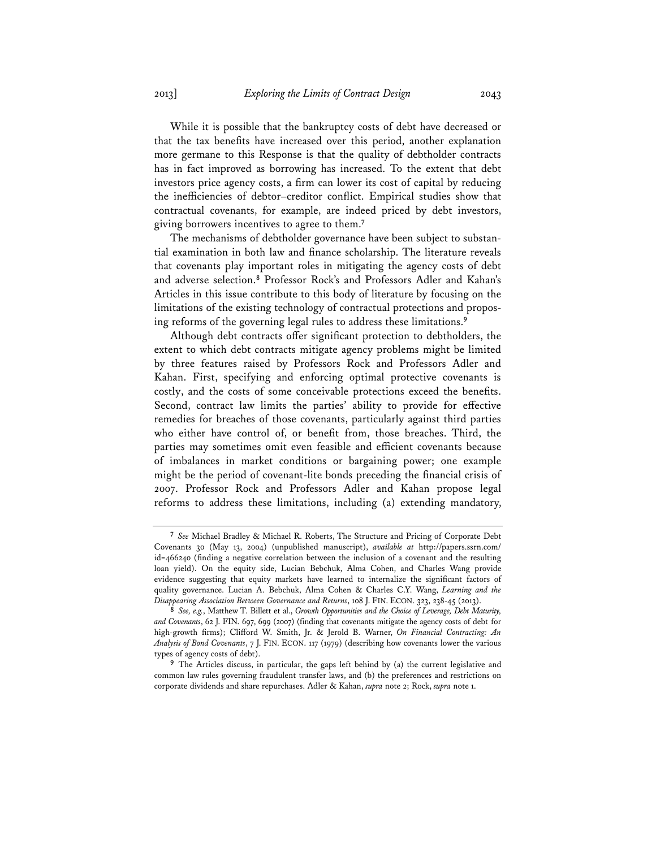While it is possible that the bankruptcy costs of debt have decreased or that the tax benefits have increased over this period, another explanation more germane to this Response is that the quality of debtholder contracts has in fact improved as borrowing has increased. To the extent that debt investors price agency costs, a firm can lower its cost of capital by reducing the inefficiencies of debtor–creditor conflict. Empirical studies show that contractual covenants, for example, are indeed priced by debt investors, giving borrowers incentives to agree to them.**<sup>7</sup>**

The mechanisms of debtholder governance have been subject to substantial examination in both law and finance scholarship. The literature reveals that covenants play important roles in mitigating the agency costs of debt and adverse selection.**<sup>8</sup>** Professor Rock's and Professors Adler and Kahan's Articles in this issue contribute to this body of literature by focusing on the limitations of the existing technology of contractual protections and proposing reforms of the governing legal rules to address these limitations.**<sup>9</sup>**

Although debt contracts offer significant protection to debtholders, the extent to which debt contracts mitigate agency problems might be limited by three features raised by Professors Rock and Professors Adler and Kahan. First, specifying and enforcing optimal protective covenants is costly, and the costs of some conceivable protections exceed the benefits. Second, contract law limits the parties' ability to provide for effective remedies for breaches of those covenants, particularly against third parties who either have control of, or benefit from, those breaches. Third, the parties may sometimes omit even feasible and efficient covenants because of imbalances in market conditions or bargaining power; one example might be the period of covenant-lite bonds preceding the financial crisis of 2007. Professor Rock and Professors Adler and Kahan propose legal reforms to address these limitations, including (a) extending mandatory,

**<sup>7</sup>** *See* Michael Bradley & Michael R. Roberts, The Structure and Pricing of Corporate Debt Covenants 30 (May 13, 2004) (unpublished manuscript), *available at* http://papers.ssrn.com/  $id=466240$  (finding a negative correlation between the inclusion of a covenant and the resulting loan yield). On the equity side, Lucian Bebchuk, Alma Cohen, and Charles Wang provide evidence suggesting that equity markets have learned to internalize the significant factors of quality governance. Lucian A. Bebchuk, Alma Cohen & Charles C.Y. Wang, *Learning and the Disappearing Association Between Governance and Returns*, 108 J. FIN. ECON. 323, 238-45 (2013).

**<sup>8</sup>** *See, e.g.*, Matthew T. Billett et al., *Growth Opportunities and the Choice of Leverage, Debt Maturity, and Covenants*, 62 J. FIN. 697, 699 (2007) (finding that covenants mitigate the agency costs of debt for high-growth firms); Clifford W. Smith, Jr. & Jerold B. Warner, *On Financial Contracting: An Analysis of Bond Covenants*, 7 J. FIN. ECON. 117 (1979) (describing how covenants lower the various types of agency costs of debt).

**<sup>9</sup>** The Articles discuss, in particular, the gaps left behind by (a) the current legislative and common law rules governing fraudulent transfer laws, and (b) the preferences and restrictions on corporate dividends and share repurchases. Adler & Kahan, *supra* note 2; Rock, *supra* note 1.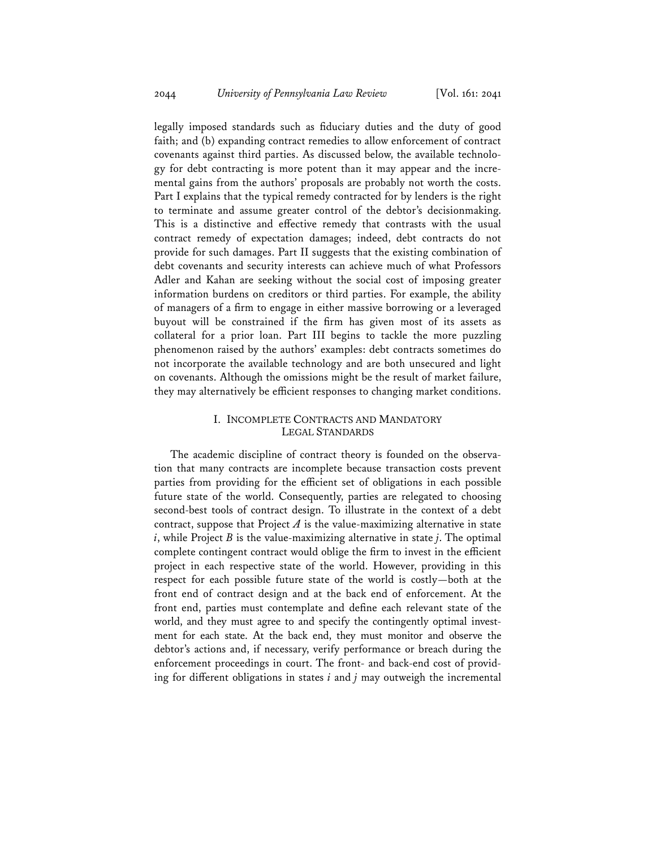legally imposed standards such as fiduciary duties and the duty of good faith; and (b) expanding contract remedies to allow enforcement of contract covenants against third parties. As discussed below, the available technology for debt contracting is more potent than it may appear and the incremental gains from the authors' proposals are probably not worth the costs. Part I explains that the typical remedy contracted for by lenders is the right to terminate and assume greater control of the debtor's decisionmaking. This is a distinctive and effective remedy that contrasts with the usual contract remedy of expectation damages; indeed, debt contracts do not provide for such damages. Part II suggests that the existing combination of debt covenants and security interests can achieve much of what Professors Adler and Kahan are seeking without the social cost of imposing greater information burdens on creditors or third parties. For example, the ability of managers of a firm to engage in either massive borrowing or a leveraged buyout will be constrained if the firm has given most of its assets as collateral for a prior loan. Part III begins to tackle the more puzzling phenomenon raised by the authors' examples: debt contracts sometimes do not incorporate the available technology and are both unsecured and light on covenants. Although the omissions might be the result of market failure, they may alternatively be efficient responses to changing market conditions.

## I. INCOMPLETE CONTRACTS AND MANDATORY LEGAL STANDARDS

The academic discipline of contract theory is founded on the observation that many contracts are incomplete because transaction costs prevent parties from providing for the efficient set of obligations in each possible future state of the world. Consequently, parties are relegated to choosing second-best tools of contract design. To illustrate in the context of a debt contract, suppose that Project  $A$  is the value-maximizing alternative in state *i*, while Project *B* is the value-maximizing alternative in state *j*. The optimal complete contingent contract would oblige the firm to invest in the efficient project in each respective state of the world. However, providing in this respect for each possible future state of the world is costly—both at the front end of contract design and at the back end of enforcement. At the front end, parties must contemplate and define each relevant state of the world, and they must agree to and specify the contingently optimal investment for each state. At the back end, they must monitor and observe the debtor's actions and, if necessary, verify performance or breach during the enforcement proceedings in court. The front- and back-end cost of providing for different obligations in states  $i$  and  $j$  may outweigh the incremental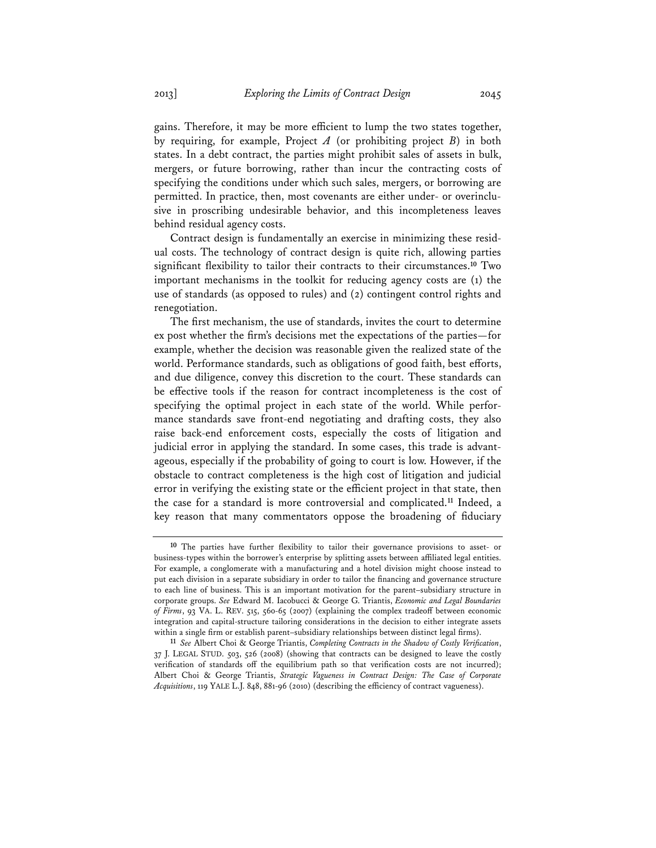gains. Therefore, it may be more efficient to lump the two states together, by requiring, for example, Project *A* (or prohibiting project *B*) in both states. In a debt contract, the parties might prohibit sales of assets in bulk, mergers, or future borrowing, rather than incur the contracting costs of specifying the conditions under which such sales, mergers, or borrowing are permitted. In practice, then, most covenants are either under- or overinclusive in proscribing undesirable behavior, and this incompleteness leaves behind residual agency costs.

Contract design is fundamentally an exercise in minimizing these residual costs. The technology of contract design is quite rich, allowing parties significant flexibility to tailor their contracts to their circumstances.<sup>10</sup> Two important mechanisms in the toolkit for reducing agency costs are (1) the use of standards (as opposed to rules) and (2) contingent control rights and renegotiation.

The first mechanism, the use of standards, invites the court to determine ex post whether the firm's decisions met the expectations of the parties—for example, whether the decision was reasonable given the realized state of the world. Performance standards, such as obligations of good faith, best efforts, and due diligence, convey this discretion to the court. These standards can be effective tools if the reason for contract incompleteness is the cost of specifying the optimal project in each state of the world. While performance standards save front-end negotiating and drafting costs, they also raise back-end enforcement costs, especially the costs of litigation and judicial error in applying the standard. In some cases, this trade is advantageous, especially if the probability of going to court is low. However, if the obstacle to contract completeness is the high cost of litigation and judicial error in verifying the existing state or the efficient project in that state, then the case for a standard is more controversial and complicated.**<sup>11</sup>** Indeed, a key reason that many commentators oppose the broadening of fiduciary

<sup>&</sup>lt;sup>10</sup> The parties have further flexibility to tailor their governance provisions to asset- or business-types within the borrower's enterprise by splitting assets between affiliated legal entities. For example, a conglomerate with a manufacturing and a hotel division might choose instead to put each division in a separate subsidiary in order to tailor the financing and governance structure to each line of business. This is an important motivation for the parent–subsidiary structure in corporate groups. *See* Edward M. Iacobucci & George G. Triantis, *Economic and Legal Boundaries*  of Firms, 93 VA. L. REV. 515, 560-65 (2007) (explaining the complex tradeoff between economic integration and capital-structure tailoring considerations in the decision to either integrate assets within a single firm or establish parent–subsidiary relationships between distinct legal firms).

<sup>11</sup> *See* Albert Choi & George Triantis, *Completing Contracts in the Shadow of Costly Verification*, 37 J. LEGAL STUD. 503, 526 (2008) (showing that contracts can be designed to leave the costly verification of standards off the equilibrium path so that verification costs are not incurred); Albert Choi & George Triantis, *Strategic Vagueness in Contract Design: The Case of Corporate Acquisitions*, 119 YALE L.J. 848, 881-96 (2010) (describing the efficiency of contract vagueness).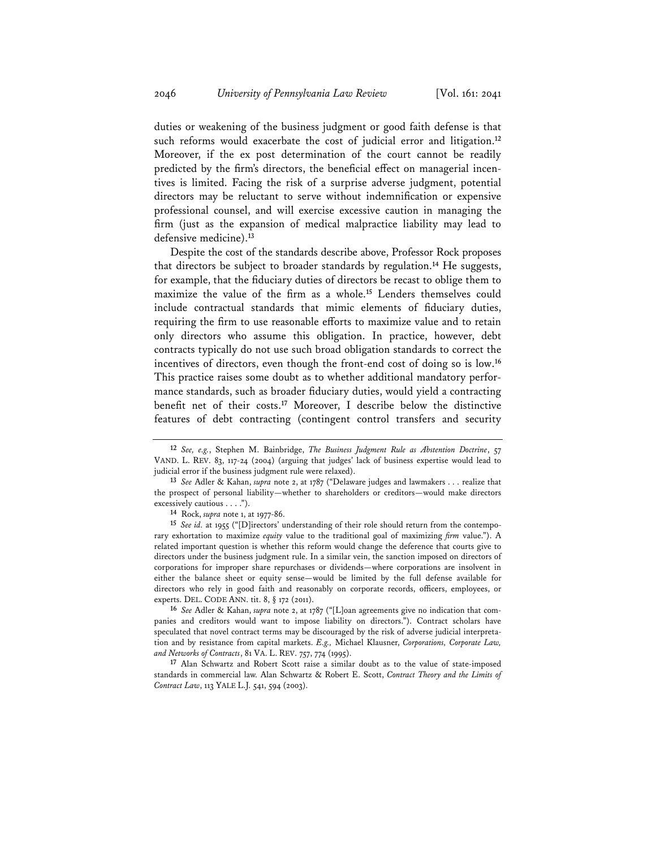duties or weakening of the business judgment or good faith defense is that such reforms would exacerbate the cost of judicial error and litigation.**<sup>12</sup>** Moreover, if the ex post determination of the court cannot be readily predicted by the firm's directors, the beneficial effect on managerial incentives is limited. Facing the risk of a surprise adverse judgment, potential directors may be reluctant to serve without indemnification or expensive professional counsel, and will exercise excessive caution in managing the firm (just as the expansion of medical malpractice liability may lead to defensive medicine).**<sup>13</sup>**

Despite the cost of the standards describe above, Professor Rock proposes that directors be subject to broader standards by regulation.**<sup>14</sup>** He suggests, for example, that the fiduciary duties of directors be recast to oblige them to maximize the value of the firm as a whole.<sup>15</sup> Lenders themselves could include contractual standards that mimic elements of fiduciary duties, requiring the firm to use reasonable efforts to maximize value and to retain only directors who assume this obligation. In practice, however, debt contracts typically do not use such broad obligation standards to correct the incentives of directors, even though the front-end cost of doing so is low.**<sup>16</sup>** This practice raises some doubt as to whether additional mandatory performance standards, such as broader fiduciary duties, would yield a contracting benefit net of their costs.<sup>17</sup> Moreover, I describe below the distinctive features of debt contracting (contingent control transfers and security

**16** *See* Adler & Kahan, *supra* note 2, at 1787 ("[L]oan agreements give no indication that companies and creditors would want to impose liability on directors."). Contract scholars have speculated that novel contract terms may be discouraged by the risk of adverse judicial interpretation and by resistance from capital markets. *E.g.,* Michael Klausner, *Corporations, Corporate Law, and Networks of Contracts*, 81 VA. L. REV. 757, 774 (1995).

**17** Alan Schwartz and Robert Scott raise a similar doubt as to the value of state-imposed standards in commercial law. Alan Schwartz & Robert E. Scott, *Contract Theory and the Limits of Contract Law*, 113 YALE L.J. 541, 594 (2003).

**<sup>12</sup>** *See, e.g.*, Stephen M. Bainbridge, *The Business Judgment Rule as Abstention Doctrine*, 57 VAND. L. REV. 83, 117-24 (2004) (arguing that judges' lack of business expertise would lead to judicial error if the business judgment rule were relaxed).

**<sup>13</sup>** *See* Adler & Kahan, *supra* note 2, at 1787 ("Delaware judges and lawmakers . . . realize that the prospect of personal liability—whether to shareholders or creditors—would make directors excessively cautious . . . .").

**<sup>14</sup>** Rock, *supra* note 1, at 1977-86.

**<sup>15</sup>** *See id.* at 1955 ("[D]irectors' understanding of their role should return from the contemporary exhortation to maximize *equity* value to the traditional goal of maximizing *firm* value."). A related important question is whether this reform would change the deference that courts give to directors under the business judgment rule. In a similar vein, the sanction imposed on directors of corporations for improper share repurchases or dividends—where corporations are insolvent in either the balance sheet or equity sense—would be limited by the full defense available for directors who rely in good faith and reasonably on corporate records, officers, employees, or experts. DEL. CODE ANN. tit. 8, § 172 (2011).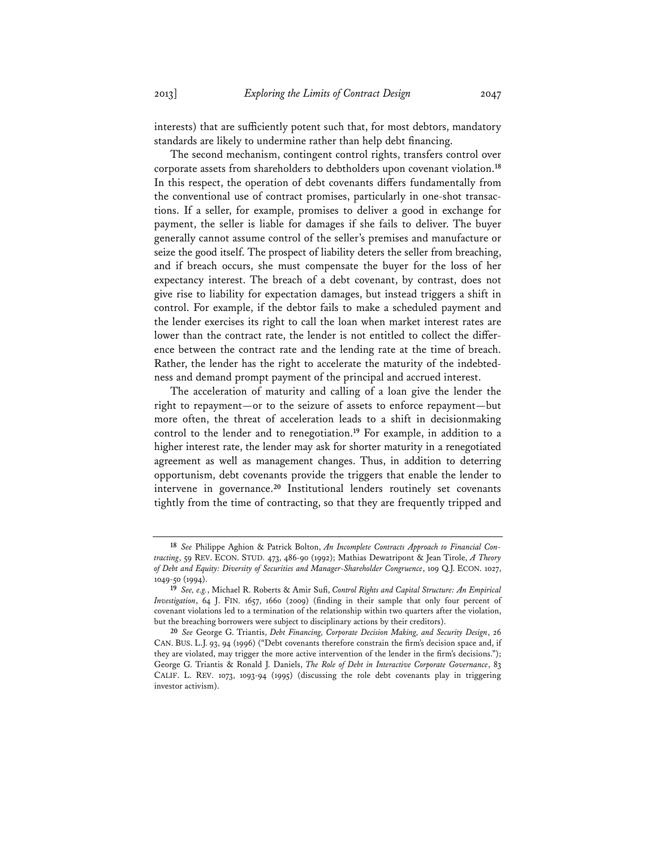interests) that are sufficiently potent such that, for most debtors, mandatory standards are likely to undermine rather than help debt financing.

The second mechanism, contingent control rights, transfers control over corporate assets from shareholders to debtholders upon covenant violation.**<sup>18</sup>** In this respect, the operation of debt covenants differs fundamentally from the conventional use of contract promises, particularly in one-shot transactions. If a seller, for example, promises to deliver a good in exchange for payment, the seller is liable for damages if she fails to deliver. The buyer generally cannot assume control of the seller's premises and manufacture or seize the good itself. The prospect of liability deters the seller from breaching, and if breach occurs, she must compensate the buyer for the loss of her expectancy interest. The breach of a debt covenant, by contrast, does not give rise to liability for expectation damages, but instead triggers a shift in control. For example, if the debtor fails to make a scheduled payment and the lender exercises its right to call the loan when market interest rates are lower than the contract rate, the lender is not entitled to collect the difference between the contract rate and the lending rate at the time of breach. Rather, the lender has the right to accelerate the maturity of the indebtedness and demand prompt payment of the principal and accrued interest.

The acceleration of maturity and calling of a loan give the lender the right to repayment—or to the seizure of assets to enforce repayment—but more often, the threat of acceleration leads to a shift in decisionmaking control to the lender and to renegotiation.**<sup>19</sup>** For example, in addition to a higher interest rate, the lender may ask for shorter maturity in a renegotiated agreement as well as management changes. Thus, in addition to deterring opportunism, debt covenants provide the triggers that enable the lender to intervene in governance.**<sup>20</sup>** Institutional lenders routinely set covenants tightly from the time of contracting, so that they are frequently tripped and

**<sup>18</sup>** *See* Philippe Aghion & Patrick Bolton, *An Incomplete Contracts Approach to Financial Contracting*, 59 REV. ECON. STUD. 473, 486-90 (1992); Mathias Dewatripont & Jean Tirole, *A Theory of Debt and Equity: Diversity of Securities and Manager-Shareholder Congruence*, 109 Q.J. ECON. 1027, 1049-50 (1994).

<sup>19</sup> *See, e.g.*, Michael R. Roberts & Amir Sufi, *Control Rights and Capital Structure: An Empirical Investigation*, 64 J. FIN. 1657, 1660 (2009) (finding in their sample that only four percent of covenant violations led to a termination of the relationship within two quarters after the violation, but the breaching borrowers were subject to disciplinary actions by their creditors).

**<sup>20</sup>** *See* George G. Triantis, *Debt Financing, Corporate Decision Making, and Security Design*, 26 CAN. BUS. L.J. 93, 94 (1996) ("Debt covenants therefore constrain the firm's decision space and, if they are violated, may trigger the more active intervention of the lender in the firm's decisions."); George G. Triantis & Ronald J. Daniels, *The Role of Debt in Interactive Corporate Governance*, 83 CALIF. L. REV. 1073, 1093-94 (1995) (discussing the role debt covenants play in triggering investor activism).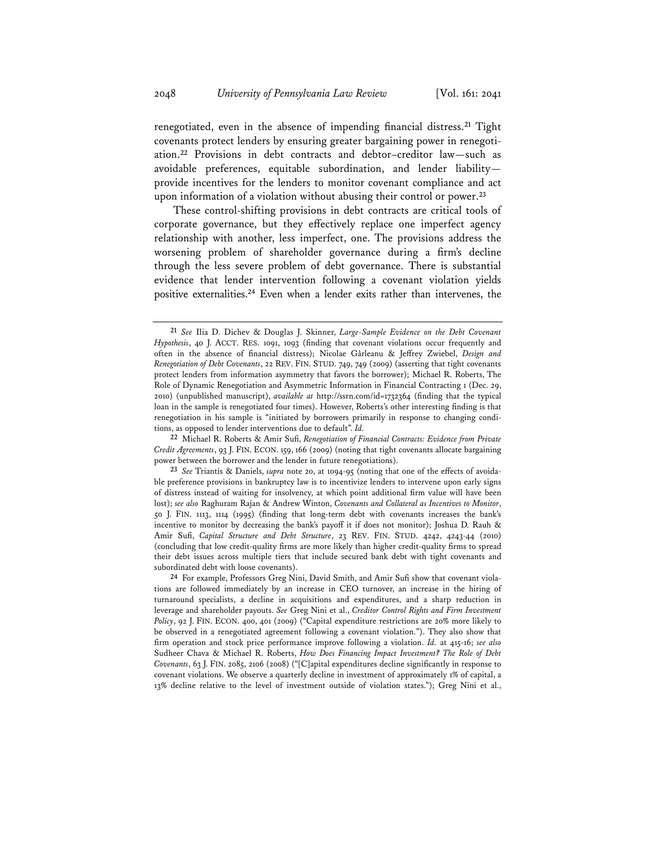renegotiated, even in the absence of impending financial distress.<sup>21</sup> Tight covenants protect lenders by ensuring greater bargaining power in renegotiation.**<sup>22</sup>** Provisions in debt contracts and debtor–creditor law—such as avoidable preferences, equitable subordination, and lender liability provide incentives for the lenders to monitor covenant compliance and act upon information of a violation without abusing their control or power.**<sup>23</sup>**

 These control-shifting provisions in debt contracts are critical tools of corporate governance, but they effectively replace one imperfect agency relationship with another, less imperfect, one. The provisions address the worsening problem of shareholder governance during a firm's decline through the less severe problem of debt governance. There is substantial evidence that lender intervention following a covenant violation yields positive externalities.**<sup>24</sup>** Even when a lender exits rather than intervenes, the

**22** Michael R. Roberts & Amir Su\*, *Renegotiation of Financial Contracts: Evidence from Private Credit Agreements*, 93 J. FIN. ECON. 159, 166 (2009) (noting that tight covenants allocate bargaining power between the borrower and the lender in future renegotiations).

**<sup>21</sup>** *See* Ilia D. Dichev & Douglas J. Skinner, *Large-Sample Evidence on the Debt Covenant*  Hypothesis, 40 J. ACCT. RES. 1091, 1093 (finding that covenant violations occur frequently and often in the absence of financial distress); Nicolae Gârleanu & Jeffrey Zwiebel, Design and *Renegotiation of Debt Covenants*, 22 REV. FIN. STUD. 749, 749 (2009) (asserting that tight covenants protect lenders from information asymmetry that favors the borrower); Michael R. Roberts, The Role of Dynamic Renegotiation and Asymmetric Information in Financial Contracting 1 (Dec. 29, 2010) (unpublished manuscript), *available at* http://ssrn.com/id=1732364 (\*nding that the typical loan in the sample is renegotiated four times). However, Roberts's other interesting finding is that renegotiation in his sample is "initiated by borrowers primarily in response to changing conditions, as opposed to lender interventions due to default". *Id.*

<sup>23</sup> *See* Triantis & Daniels, *supra* note 20, at 1094-95 (noting that one of the effects of avoidable preference provisions in bankruptcy law is to incentivize lenders to intervene upon early signs of distress instead of waiting for insolvency, at which point additional firm value will have been lost); *see also* Raghuram Rajan & Andrew Winton, *Covenants and Collateral as Incentives to Monitor*, 50 J. FIN. 1113, 1114 (1995) (\*nding that long-term debt with covenants increases the bank's incentive to monitor by decreasing the bank's payoff it if does not monitor); Joshua D. Rauh & Amir Su\*, *Capital Structure and Debt Structure*, 23 REV. FIN. STUD. 4242, 4243-44 (2010) (concluding that low credit-quality firms are more likely than higher credit-quality firms to spread their debt issues across multiple tiers that include secured bank debt with tight covenants and subordinated debt with loose covenants).

<sup>&</sup>lt;sup>24</sup> For example, Professors Greg Nini, David Smith, and Amir Sufi show that covenant violations are followed immediately by an increase in CEO turnover, an increase in the hiring of turnaround specialists, a decline in acquisitions and expenditures, and a sharp reduction in leverage and shareholder payouts. *See* Greg Nini et al., *Creditor Control Rights and Firm Investment Policy*, 92 J. FIN. ECON. 400, 401 (2009) ("Capital expenditure restrictions are 20% more likely to be observed in a renegotiated agreement following a covenant violation."). They also show that firm operation and stock price performance improve following a violation. *Id.* at 415-16; see also Sudheer Chava & Michael R. Roberts, *How Does Financing Impact Investment? The Role of Debt Covenants*, 63 J. FIN. 2085, 2106 (2008) ("[C]apital expenditures decline significantly in response to covenant violations. We observe a quarterly decline in investment of approximately 1% of capital, a 13% decline relative to the level of investment outside of violation states."); Greg Nini et al.,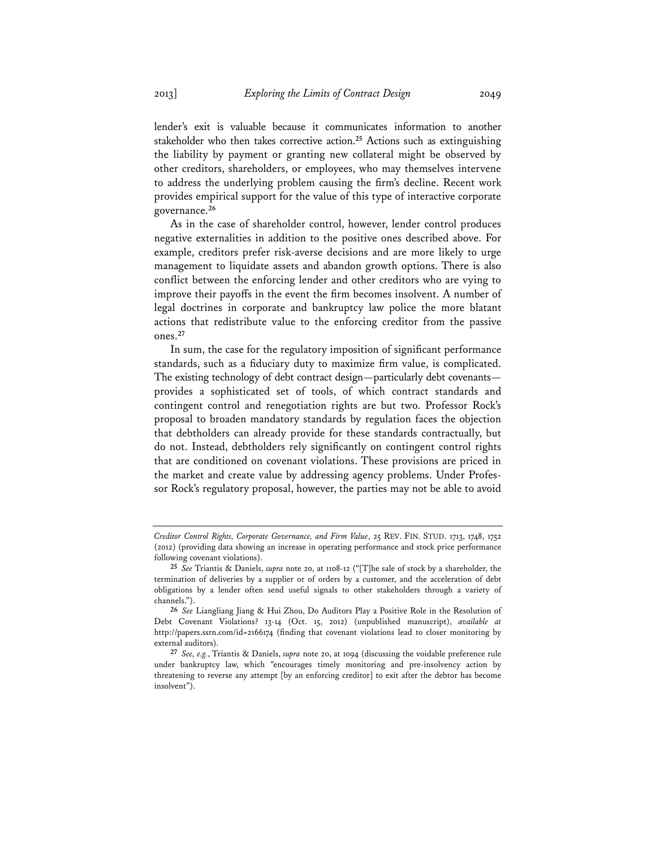lender's exit is valuable because it communicates information to another stakeholder who then takes corrective action.**<sup>25</sup>** Actions such as extinguishing the liability by payment or granting new collateral might be observed by other creditors, shareholders, or employees, who may themselves intervene to address the underlying problem causing the firm's decline. Recent work provides empirical support for the value of this type of interactive corporate governance.**<sup>26</sup>**

As in the case of shareholder control, however, lender control produces negative externalities in addition to the positive ones described above. For example, creditors prefer risk-averse decisions and are more likely to urge management to liquidate assets and abandon growth options. There is also conflict between the enforcing lender and other creditors who are vying to improve their payoffs in the event the firm becomes insolvent. A number of legal doctrines in corporate and bankruptcy law police the more blatant actions that redistribute value to the enforcing creditor from the passive ones.**<sup>27</sup>**

In sum, the case for the regulatory imposition of significant performance standards, such as a fiduciary duty to maximize firm value, is complicated. The existing technology of debt contract design—particularly debt covenants provides a sophisticated set of tools, of which contract standards and contingent control and renegotiation rights are but two. Professor Rock's proposal to broaden mandatory standards by regulation faces the objection that debtholders can already provide for these standards contractually, but do not. Instead, debtholders rely significantly on contingent control rights that are conditioned on covenant violations. These provisions are priced in the market and create value by addressing agency problems. Under Professor Rock's regulatory proposal, however, the parties may not be able to avoid

*Creditor Control Rights, Corporate Governance, and Firm Value*, 25 REV. FIN. STUD. 1713, 1748, 1752 (2012) (providing data showing an increase in operating performance and stock price performance following covenant violations).

**<sup>25</sup>** *See* Triantis & Daniels, *supra* note 20, at 1108-12 ("[T]he sale of stock by a shareholder, the termination of deliveries by a supplier or of orders by a customer, and the acceleration of debt obligations by a lender often send useful signals to other stakeholders through a variety of channels.").

**<sup>26</sup>** *See* Liangliang Jiang & Hui Zhou, Do Auditors Play a Positive Role in the Resolution of Debt Covenant Violations? 13-14 (Oct. 15, 2012) (unpublished manuscript), *available at* http://papers.ssrn.com/id=2166174 (finding that covenant violations lead to closer monitoring by external auditors).

**<sup>27</sup>** *See, e.g.*, Triantis & Daniels, *supra* note 20, at 1094 (discussing the voidable preference rule under bankruptcy law, which "encourages timely monitoring and pre-insolvency action by threatening to reverse any attempt [by an enforcing creditor] to exit after the debtor has become insolvent").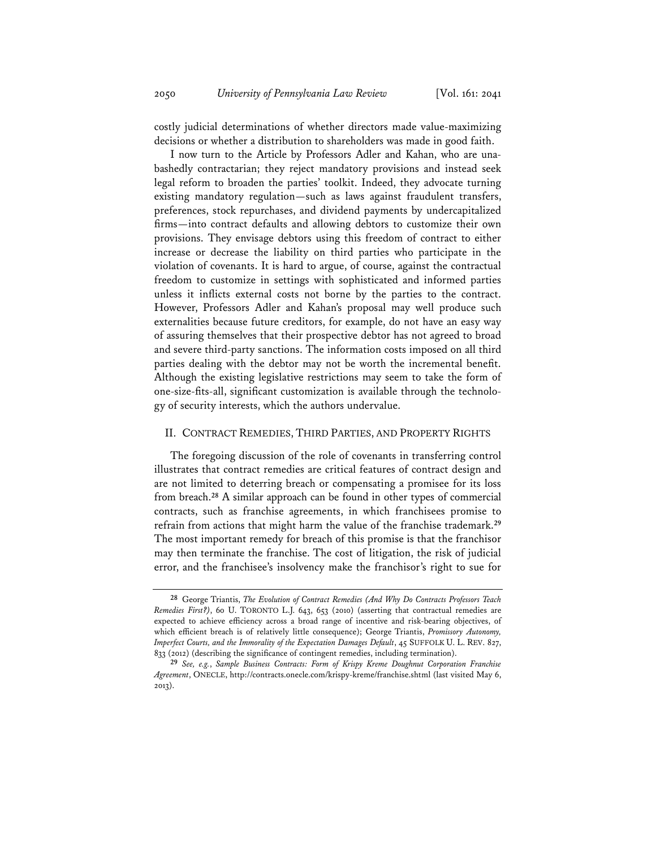costly judicial determinations of whether directors made value-maximizing decisions or whether a distribution to shareholders was made in good faith.

I now turn to the Article by Professors Adler and Kahan, who are unabashedly contractarian; they reject mandatory provisions and instead seek legal reform to broaden the parties' toolkit. Indeed, they advocate turning existing mandatory regulation—such as laws against fraudulent transfers, preferences, stock repurchases, and dividend payments by undercapitalized firms—into contract defaults and allowing debtors to customize their own provisions. They envisage debtors using this freedom of contract to either increase or decrease the liability on third parties who participate in the violation of covenants. It is hard to argue, of course, against the contractual freedom to customize in settings with sophisticated and informed parties unless it inflicts external costs not borne by the parties to the contract. However, Professors Adler and Kahan's proposal may well produce such externalities because future creditors, for example, do not have an easy way of assuring themselves that their prospective debtor has not agreed to broad and severe third-party sanctions. The information costs imposed on all third parties dealing with the debtor may not be worth the incremental benefit. Although the existing legislative restrictions may seem to take the form of one-size-fits-all, significant customization is available through the technology of security interests, which the authors undervalue.

#### II. CONTRACT REMEDIES, THIRD PARTIES, AND PROPERTY RIGHTS

The foregoing discussion of the role of covenants in transferring control illustrates that contract remedies are critical features of contract design and are not limited to deterring breach or compensating a promisee for its loss from breach.**<sup>28</sup>** A similar approach can be found in other types of commercial contracts, such as franchise agreements, in which franchisees promise to refrain from actions that might harm the value of the franchise trademark.**<sup>29</sup>** The most important remedy for breach of this promise is that the franchisor may then terminate the franchise. The cost of litigation, the risk of judicial error, and the franchisee's insolvency make the franchisor's right to sue for

**<sup>28</sup>** George Triantis, *The Evolution of Contract Remedies (And Why Do Contracts Professors Teach Remedies First?*), 60 U. TORONTO L.J. 643, 653 (2010) (asserting that contractual remedies are expected to achieve efficiency across a broad range of incentive and risk-bearing objectives, of which efficient breach is of relatively little consequence); George Triantis, *Promissory Autonomy*, *Imperfect Courts, and the Immorality of the Expectation Damages Default*, 45 SUFFOLK U. L. REV. 827, 833 (2012) (describing the significance of contingent remedies, including termination).

**<sup>29</sup>** *See, e.g.*, *Sample Business Contracts: Form of Krispy Kreme Doughnut Corporation Franchise Agreement*, ONECLE, http://contracts.onecle.com/krispy-kreme/franchise.shtml (last visited May 6, 2013).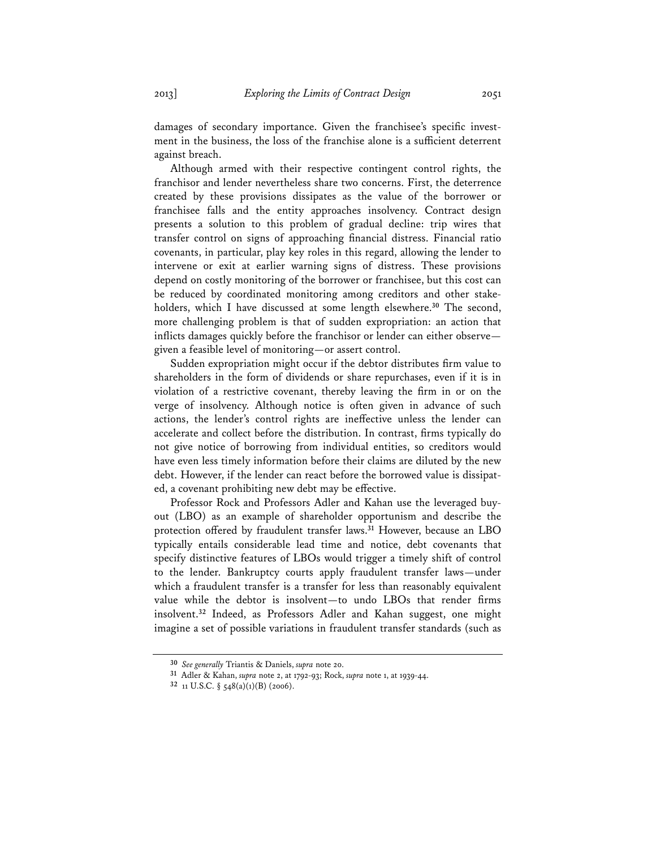damages of secondary importance. Given the franchisee's specific investment in the business, the loss of the franchise alone is a sufficient deterrent against breach.

Although armed with their respective contingent control rights, the franchisor and lender nevertheless share two concerns. First, the deterrence created by these provisions dissipates as the value of the borrower or franchisee falls and the entity approaches insolvency. Contract design presents a solution to this problem of gradual decline: trip wires that transfer control on signs of approaching financial distress. Financial ratio covenants, in particular, play key roles in this regard, allowing the lender to intervene or exit at earlier warning signs of distress. These provisions depend on costly monitoring of the borrower or franchisee, but this cost can be reduced by coordinated monitoring among creditors and other stakeholders, which I have discussed at some length elsewhere.**<sup>30</sup>** The second, more challenging problem is that of sudden expropriation: an action that inflicts damages quickly before the franchisor or lender can either observe given a feasible level of monitoring—or assert control.

Sudden expropriation might occur if the debtor distributes firm value to shareholders in the form of dividends or share repurchases, even if it is in violation of a restrictive covenant, thereby leaving the firm in or on the verge of insolvency. Although notice is often given in advance of such actions, the lender's control rights are ineffective unless the lender can accelerate and collect before the distribution. In contrast, firms typically do not give notice of borrowing from individual entities, so creditors would have even less timely information before their claims are diluted by the new debt. However, if the lender can react before the borrowed value is dissipated, a covenant prohibiting new debt may be effective.

Professor Rock and Professors Adler and Kahan use the leveraged buyout (LBO) as an example of shareholder opportunism and describe the protection offered by fraudulent transfer laws.<sup>31</sup> However, because an LBO typically entails considerable lead time and notice, debt covenants that specify distinctive features of LBOs would trigger a timely shift of control to the lender. Bankruptcy courts apply fraudulent transfer laws—under which a fraudulent transfer is a transfer for less than reasonably equivalent value while the debtor is insolvent-to undo LBOs that render firms insolvent.**<sup>32</sup>** Indeed, as Professors Adler and Kahan suggest, one might imagine a set of possible variations in fraudulent transfer standards (such as

**<sup>30</sup>** *See generally* Triantis & Daniels, *supra* note 20.

**<sup>31</sup>** Adler & Kahan, *supra* note 2, at 1792-93; Rock, *supra* note 1, at 1939-44.

**<sup>32</sup>** 11 U.S.C. § 548(a)(1)(B) (2006).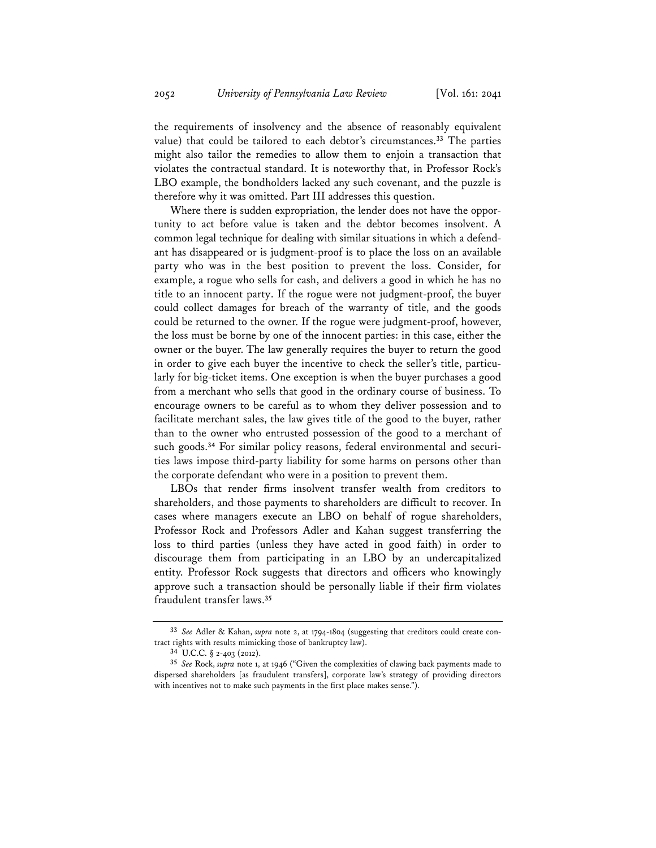the requirements of insolvency and the absence of reasonably equivalent value) that could be tailored to each debtor's circumstances.**<sup>33</sup>** The parties might also tailor the remedies to allow them to enjoin a transaction that violates the contractual standard. It is noteworthy that, in Professor Rock's LBO example, the bondholders lacked any such covenant, and the puzzle is therefore why it was omitted. Part III addresses this question.

Where there is sudden expropriation, the lender does not have the opportunity to act before value is taken and the debtor becomes insolvent. A common legal technique for dealing with similar situations in which a defendant has disappeared or is judgment-proof is to place the loss on an available party who was in the best position to prevent the loss. Consider, for example, a rogue who sells for cash, and delivers a good in which he has no title to an innocent party. If the rogue were not judgment-proof, the buyer could collect damages for breach of the warranty of title, and the goods could be returned to the owner. If the rogue were judgment-proof, however, the loss must be borne by one of the innocent parties: in this case, either the owner or the buyer. The law generally requires the buyer to return the good in order to give each buyer the incentive to check the seller's title, particularly for big-ticket items. One exception is when the buyer purchases a good from a merchant who sells that good in the ordinary course of business. To encourage owners to be careful as to whom they deliver possession and to facilitate merchant sales, the law gives title of the good to the buyer, rather than to the owner who entrusted possession of the good to a merchant of such goods.**34** For similar policy reasons, federal environmental and securities laws impose third-party liability for some harms on persons other than the corporate defendant who were in a position to prevent them.

LBOs that render firms insolvent transfer wealth from creditors to shareholders, and those payments to shareholders are difficult to recover. In cases where managers execute an LBO on behalf of rogue shareholders, Professor Rock and Professors Adler and Kahan suggest transferring the loss to third parties (unless they have acted in good faith) in order to discourage them from participating in an LBO by an undercapitalized entity. Professor Rock suggests that directors and officers who knowingly approve such a transaction should be personally liable if their firm violates fraudulent transfer laws.**<sup>35</sup>**

**<sup>33</sup>** *See* Adler & Kahan, *supra* note 2, at 1794-1804 (suggesting that creditors could create contract rights with results mimicking those of bankruptcy law).

**<sup>34</sup>** U.C.C. § 2-403 (2012).

**<sup>35</sup>** *See* Rock, *supra* note 1, at 1946 ("Given the complexities of clawing back payments made to dispersed shareholders [as fraudulent transfers], corporate law's strategy of providing directors with incentives not to make such payments in the first place makes sense.").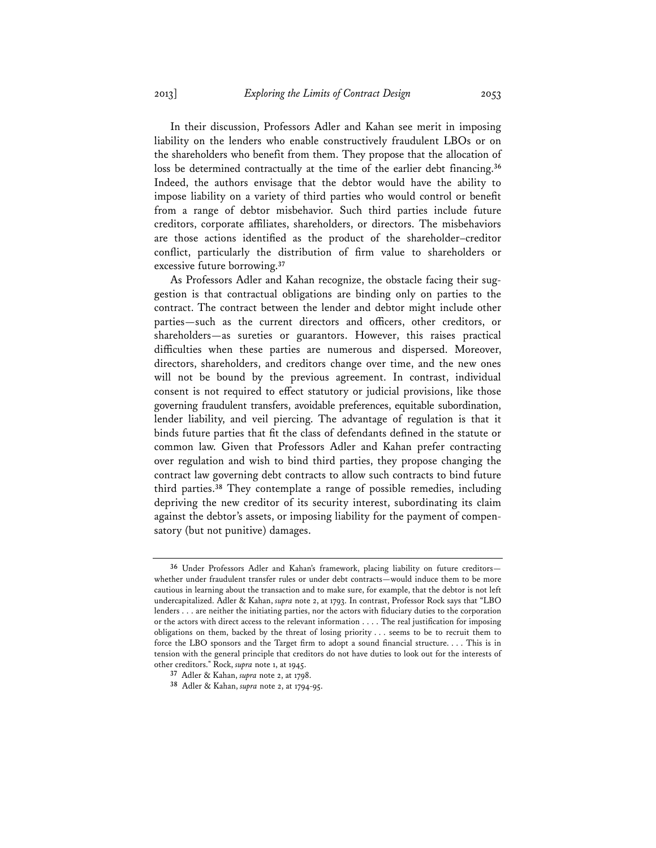In their discussion, Professors Adler and Kahan see merit in imposing liability on the lenders who enable constructively fraudulent LBOs or on the shareholders who benefit from them. They propose that the allocation of loss be determined contractually at the time of the earlier debt financing.**<sup>36</sup>** Indeed, the authors envisage that the debtor would have the ability to impose liability on a variety of third parties who would control or benefit from a range of debtor misbehavior. Such third parties include future creditors, corporate affiliates, shareholders, or directors. The misbehaviors are those actions identified as the product of the shareholder–creditor conflict, particularly the distribution of firm value to shareholders or excessive future borrowing.**<sup>37</sup>**

As Professors Adler and Kahan recognize, the obstacle facing their suggestion is that contractual obligations are binding only on parties to the contract. The contract between the lender and debtor might include other parties—such as the current directors and officers, other creditors, or shareholders—as sureties or guarantors. However, this raises practical difficulties when these parties are numerous and dispersed. Moreover, directors, shareholders, and creditors change over time, and the new ones will not be bound by the previous agreement. In contrast, individual consent is not required to effect statutory or judicial provisions, like those governing fraudulent transfers, avoidable preferences, equitable subordination, lender liability, and veil piercing. The advantage of regulation is that it binds future parties that fit the class of defendants defined in the statute or common law. Given that Professors Adler and Kahan prefer contracting over regulation and wish to bind third parties, they propose changing the contract law governing debt contracts to allow such contracts to bind future third parties.**<sup>38</sup>** They contemplate a range of possible remedies, including depriving the new creditor of its security interest, subordinating its claim against the debtor's assets, or imposing liability for the payment of compensatory (but not punitive) damages.

**<sup>36</sup>** Under Professors Adler and Kahan's framework, placing liability on future creditors whether under fraudulent transfer rules or under debt contracts—would induce them to be more cautious in learning about the transaction and to make sure, for example, that the debtor is not left undercapitalized. Adler & Kahan, *supra* note 2, at 1793. In contrast, Professor Rock says that "LBO lenders . . . are neither the initiating parties, nor the actors with fiduciary duties to the corporation or the actors with direct access to the relevant information  $\dots$ . The real justification for imposing obligations on them, backed by the threat of losing priority . . . seems to be to recruit them to force the LBO sponsors and the Target firm to adopt a sound financial structure. . . . This is in tension with the general principle that creditors do not have duties to look out for the interests of other creditors." Rock, *supra* note 1, at 1945.

**<sup>37</sup>** Adler & Kahan, *supra* note 2, at 1798.

**<sup>38</sup>** Adler & Kahan, *supra* note 2, at 1794-95.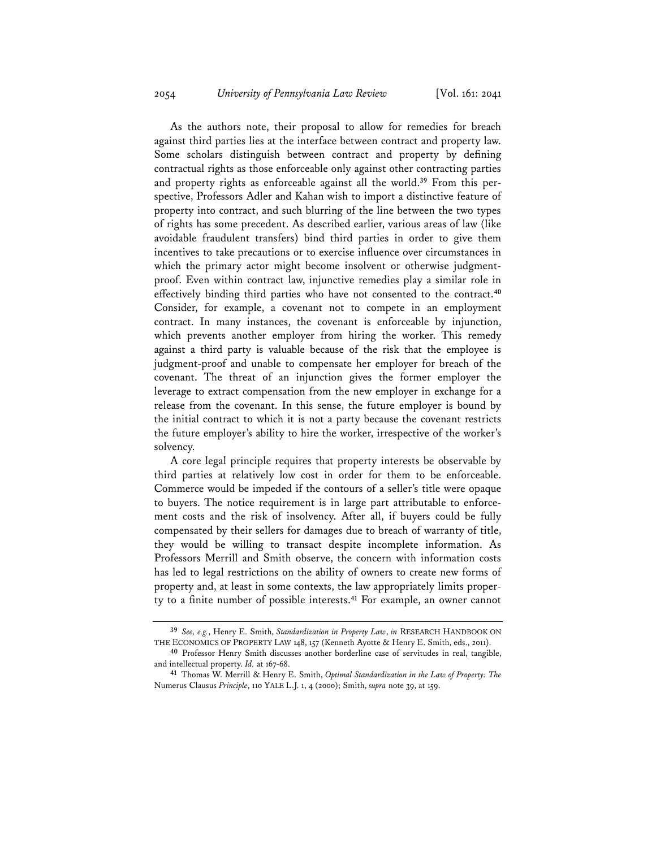As the authors note, their proposal to allow for remedies for breach against third parties lies at the interface between contract and property law. Some scholars distinguish between contract and property by defining contractual rights as those enforceable only against other contracting parties and property rights as enforceable against all the world.**39** From this perspective, Professors Adler and Kahan wish to import a distinctive feature of property into contract, and such blurring of the line between the two types of rights has some precedent. As described earlier, various areas of law (like avoidable fraudulent transfers) bind third parties in order to give them incentives to take precautions or to exercise influence over circumstances in which the primary actor might become insolvent or otherwise judgmentproof. Even within contract law, injunctive remedies play a similar role in effectively binding third parties who have not consented to the contract.<sup>40</sup> Consider, for example, a covenant not to compete in an employment contract. In many instances, the covenant is enforceable by injunction, which prevents another employer from hiring the worker. This remedy against a third party is valuable because of the risk that the employee is judgment-proof and unable to compensate her employer for breach of the covenant. The threat of an injunction gives the former employer the leverage to extract compensation from the new employer in exchange for a release from the covenant. In this sense, the future employer is bound by the initial contract to which it is not a party because the covenant restricts the future employer's ability to hire the worker, irrespective of the worker's solvency.

A core legal principle requires that property interests be observable by third parties at relatively low cost in order for them to be enforceable. Commerce would be impeded if the contours of a seller's title were opaque to buyers. The notice requirement is in large part attributable to enforcement costs and the risk of insolvency. After all, if buyers could be fully compensated by their sellers for damages due to breach of warranty of title, they would be willing to transact despite incomplete information. As Professors Merrill and Smith observe, the concern with information costs has led to legal restrictions on the ability of owners to create new forms of property and, at least in some contexts, the law appropriately limits property to a finite number of possible interests.<sup>41</sup> For example, an owner cannot

**<sup>39</sup>** *See, e.g.*, Henry E. Smith, *Standardization in Property Law*, *in* RESEARCH HANDBOOK ON THE ECONOMICS OF PROPERTY LAW 148, 157 (Kenneth Ayotte & Henry E. Smith, eds., 2011).

**<sup>40</sup>** Professor Henry Smith discusses another borderline case of servitudes in real, tangible, and intellectual property. *Id.* at 167-68.

**<sup>41</sup>** Thomas W. Merrill & Henry E. Smith, *Optimal Standardization in the Law of Property: The*  Numerus Clausus *Principle*, 110 YALE L.J. 1, 4 (2000); Smith, *supra* note 39, at 159.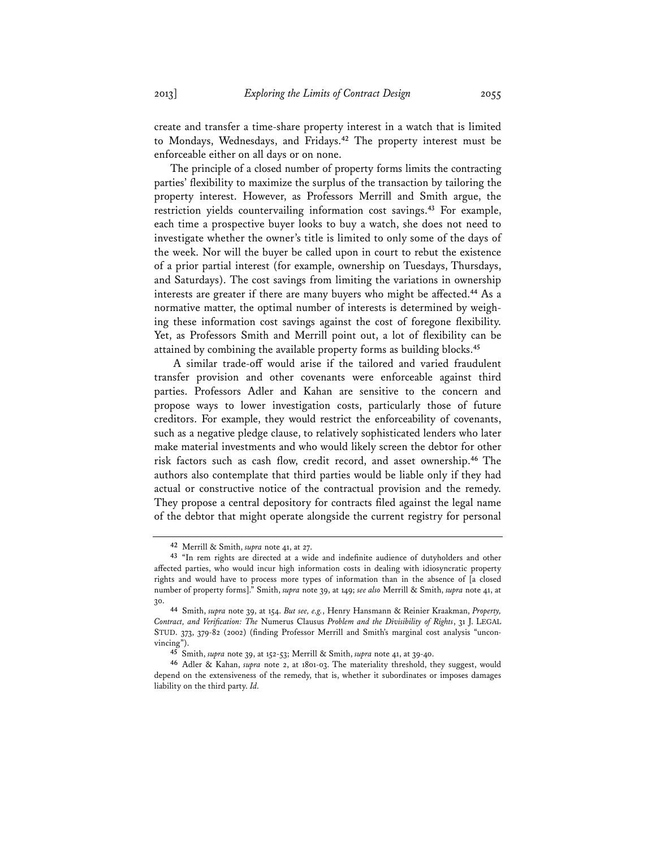create and transfer a time-share property interest in a watch that is limited to Mondays, Wednesdays, and Fridays.**<sup>42</sup>** The property interest must be enforceable either on all days or on none.

The principle of a closed number of property forms limits the contracting parties' flexibility to maximize the surplus of the transaction by tailoring the property interest. However, as Professors Merrill and Smith argue, the restriction yields countervailing information cost savings.**<sup>43</sup>** For example, each time a prospective buyer looks to buy a watch, she does not need to investigate whether the owner's title is limited to only some of the days of the week. Nor will the buyer be called upon in court to rebut the existence of a prior partial interest (for example, ownership on Tuesdays, Thursdays, and Saturdays). The cost savings from limiting the variations in ownership interests are greater if there are many buyers who might be affected.<sup>44</sup> As a normative matter, the optimal number of interests is determined by weighing these information cost savings against the cost of foregone flexibility. Yet, as Professors Smith and Merrill point out, a lot of flexibility can be attained by combining the available property forms as building blocks.**<sup>45</sup>**

A similar trade-off would arise if the tailored and varied fraudulent transfer provision and other covenants were enforceable against third parties. Professors Adler and Kahan are sensitive to the concern and propose ways to lower investigation costs, particularly those of future creditors. For example, they would restrict the enforceability of covenants, such as a negative pledge clause, to relatively sophisticated lenders who later make material investments and who would likely screen the debtor for other risk factors such as cash flow, credit record, and asset ownership.<sup>46</sup> The authors also contemplate that third parties would be liable only if they had actual or constructive notice of the contractual provision and the remedy. They propose a central depository for contracts filed against the legal name of the debtor that might operate alongside the current registry for personal

**<sup>42</sup>** Merrill & Smith, *supra* note 41, at 27.

<sup>&</sup>lt;sup>43</sup> "In rem rights are directed at a wide and indefinite audience of dutyholders and other affected parties, who would incur high information costs in dealing with idiosyncratic property rights and would have to process more types of information than in the absence of [a closed number of property forms]." Smith, *supra* note 39, at 149; *see also* Merrill & Smith, *supra* note 41, at 30.

**<sup>44</sup>** Smith, *supra* note 39, at 154. *But see, e.g.*, Henry Hansmann & Reinier Kraakman, *Property, Contract, and Veri!cation: The* Numerus Clausus *Problem and the Divisibility of Rights*, 31 J. LEGAL STUD. 373, 379-82 (2002) (finding Professor Merrill and Smith's marginal cost analysis "unconvincing").

**<sup>45</sup>** Smith, *supra* note 39, at 152-53; Merrill & Smith, *supra* note 41, at 39-40.

**<sup>46</sup>** Adler & Kahan, *supra* note 2, at 1801-03. The materiality threshold, they suggest, would depend on the extensiveness of the remedy, that is, whether it subordinates or imposes damages liability on the third party. *Id.*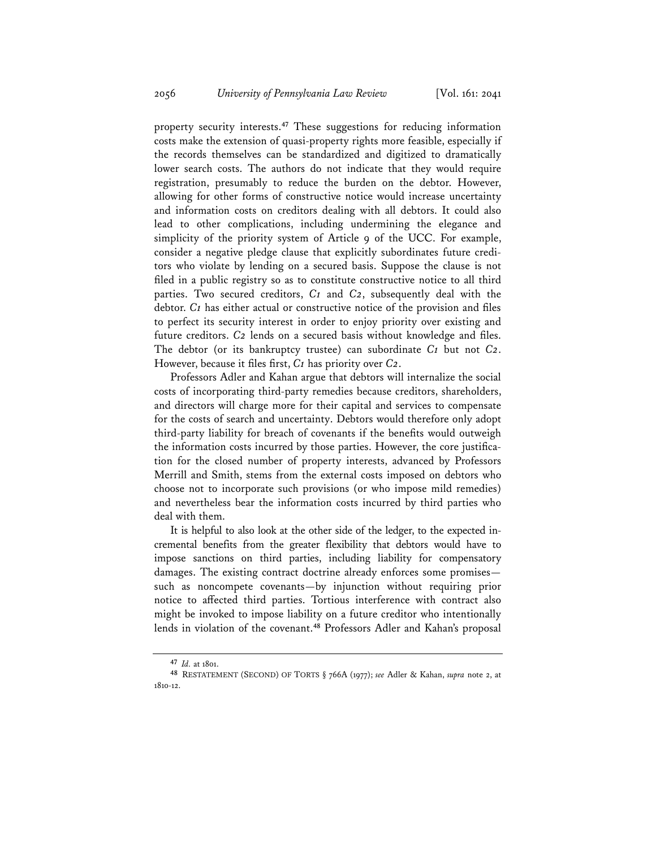property security interests.**<sup>47</sup>** These suggestions for reducing information costs make the extension of quasi-property rights more feasible, especially if the records themselves can be standardized and digitized to dramatically lower search costs. The authors do not indicate that they would require registration, presumably to reduce the burden on the debtor. However, allowing for other forms of constructive notice would increase uncertainty and information costs on creditors dealing with all debtors. It could also lead to other complications, including undermining the elegance and simplicity of the priority system of Article 9 of the UCC. For example, consider a negative pledge clause that explicitly subordinates future creditors who violate by lending on a secured basis. Suppose the clause is not filed in a public registry so as to constitute constructive notice to all third parties. Two secured creditors, *C1* and *C2*, subsequently deal with the debtor.  $C_1$  has either actual or constructive notice of the provision and files to perfect its security interest in order to enjoy priority over existing and future creditors. C<sub>2</sub> lends on a secured basis without knowledge and files. The debtor (or its bankruptcy trustee) can subordinate *C1* but not *C2*. However, because it files first, *C1* has priority over *C2*.

Professors Adler and Kahan argue that debtors will internalize the social costs of incorporating third-party remedies because creditors, shareholders, and directors will charge more for their capital and services to compensate for the costs of search and uncertainty. Debtors would therefore only adopt third-party liability for breach of covenants if the benefits would outweigh the information costs incurred by those parties. However, the core justification for the closed number of property interests, advanced by Professors Merrill and Smith, stems from the external costs imposed on debtors who choose not to incorporate such provisions (or who impose mild remedies) and nevertheless bear the information costs incurred by third parties who deal with them.

It is helpful to also look at the other side of the ledger, to the expected incremental benefits from the greater flexibility that debtors would have to impose sanctions on third parties, including liability for compensatory damages. The existing contract doctrine already enforces some promises such as noncompete covenants—by injunction without requiring prior notice to affected third parties. Tortious interference with contract also might be invoked to impose liability on a future creditor who intentionally lends in violation of the covenant.**<sup>48</sup>** Professors Adler and Kahan's proposal

**<sup>47</sup>** *Id.* at 1801.

**<sup>48</sup>** RESTATEMENT (SECOND) OF TORTS § 766A (1977); *see* Adler & Kahan, *supra* note 2, at 1810-12.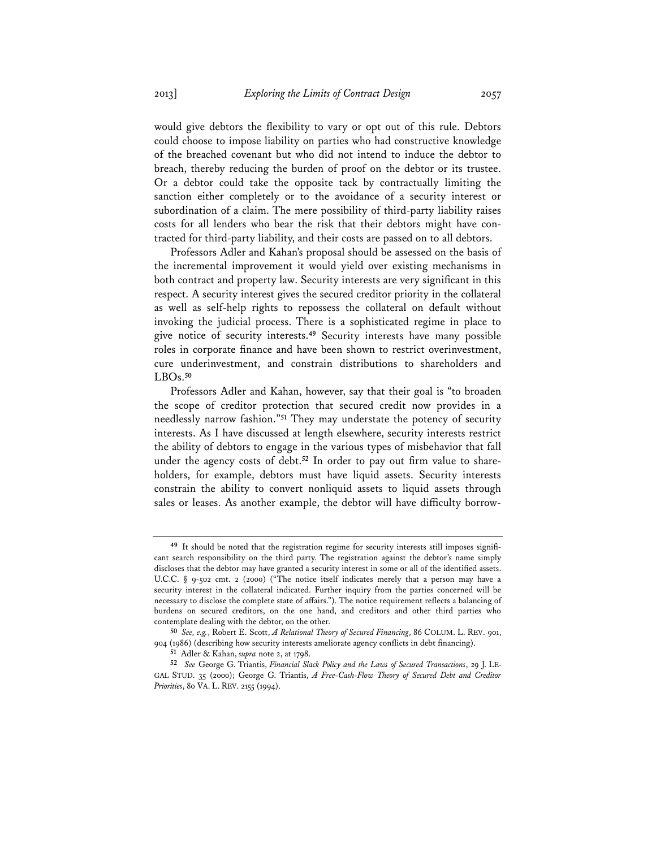would give debtors the flexibility to vary or opt out of this rule. Debtors could choose to impose liability on parties who had constructive knowledge of the breached covenant but who did not intend to induce the debtor to breach, thereby reducing the burden of proof on the debtor or its trustee. Or a debtor could take the opposite tack by contractually limiting the sanction either completely or to the avoidance of a security interest or subordination of a claim. The mere possibility of third-party liability raises costs for all lenders who bear the risk that their debtors might have contracted for third-party liability, and their costs are passed on to all debtors.

Professors Adler and Kahan's proposal should be assessed on the basis of the incremental improvement it would yield over existing mechanisms in both contract and property law. Security interests are very significant in this respect. A security interest gives the secured creditor priority in the collateral as well as self-help rights to repossess the collateral on default without invoking the judicial process. There is a sophisticated regime in place to give notice of security interests.**<sup>49</sup>** Security interests have many possible roles in corporate finance and have been shown to restrict overinvestment, cure underinvestment, and constrain distributions to shareholders and LBOs.**<sup>50</sup>**

Professors Adler and Kahan, however, say that their goal is "to broaden the scope of creditor protection that secured credit now provides in a needlessly narrow fashion."**<sup>51</sup>** They may understate the potency of security interests. As I have discussed at length elsewhere, security interests restrict the ability of debtors to engage in the various types of misbehavior that fall under the agency costs of debt.<sup>52</sup> In order to pay out firm value to shareholders, for example, debtors must have liquid assets. Security interests constrain the ability to convert nonliquid assets to liquid assets through sales or leases. As another example, the debtor will have difficulty borrow-

<sup>&</sup>lt;sup>49</sup> It should be noted that the registration regime for security interests still imposes significant search responsibility on the third party. The registration against the debtor's name simply discloses that the debtor may have granted a security interest in some or all of the identified assets. U.C.C. § 9-502 cmt. 2 (2000) ("The notice itself indicates merely that a person may have a security interest in the collateral indicated. Further inquiry from the parties concerned will be necessary to disclose the complete state of affairs."). The notice requirement reflects a balancing of burdens on secured creditors, on the one hand, and creditors and other third parties who contemplate dealing with the debtor, on the other.

**<sup>50</sup>** *See, e.g.*, Robert E. Scott, *A Relational Theory of Secured Financing*, 86 COLUM. L. REV. 901, 904 (1986) (describing how security interests ameliorate agency conflicts in debt financing).

**<sup>51</sup>** Adler & Kahan, *supra* note 2, at 1798.

**<sup>52</sup>** *See* George G. Triantis, *Financial Slack Policy and the Laws of Secured Transactions*, 29 J. LE-GAL STUD. 35 (2000); George G. Triantis, *A Free-Cash-Flow Theory of Secured Debt and Creditor Priorities*, 80 VA. L. REV. 2155 (1994).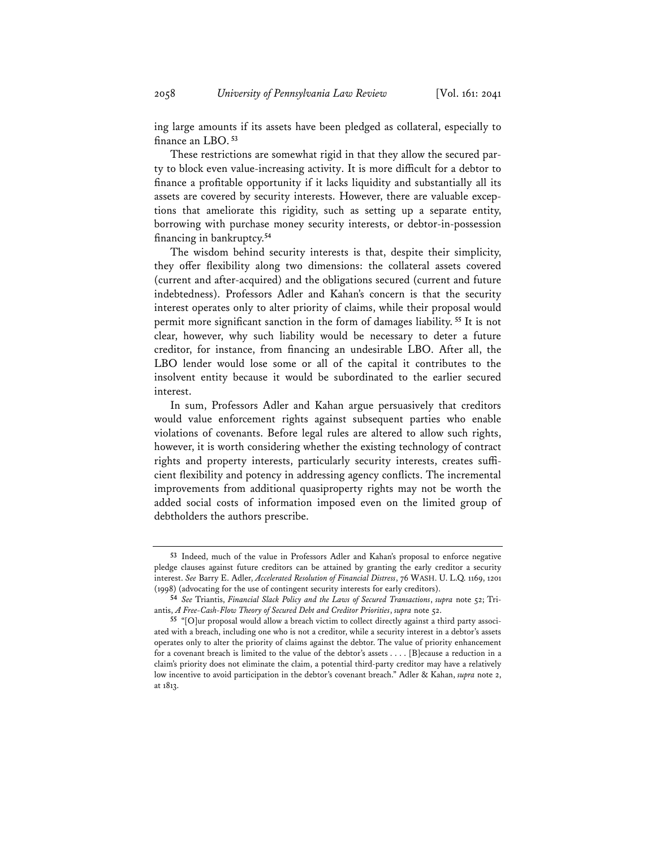ing large amounts if its assets have been pledged as collateral, especially to finance an LBO.<sup>53</sup>

These restrictions are somewhat rigid in that they allow the secured party to block even value-increasing activity. It is more difficult for a debtor to finance a profitable opportunity if it lacks liquidity and substantially all its assets are covered by security interests. However, there are valuable exceptions that ameliorate this rigidity, such as setting up a separate entity, borrowing with purchase money security interests, or debtor-in-possession financing in bankruptcy.<sup>54</sup>

The wisdom behind security interests is that, despite their simplicity, they offer flexibility along two dimensions: the collateral assets covered (current and after-acquired) and the obligations secured (current and future indebtedness). Professors Adler and Kahan's concern is that the security interest operates only to alter priority of claims, while their proposal would permit more signi\*cant sanction in the form of damages liability.**<sup>55</sup>** It is not clear, however, why such liability would be necessary to deter a future creditor, for instance, from \*nancing an undesirable LBO. After all, the LBO lender would lose some or all of the capital it contributes to the insolvent entity because it would be subordinated to the earlier secured interest.

In sum, Professors Adler and Kahan argue persuasively that creditors would value enforcement rights against subsequent parties who enable violations of covenants. Before legal rules are altered to allow such rights, however, it is worth considering whether the existing technology of contract rights and property interests, particularly security interests, creates sufficient flexibility and potency in addressing agency conflicts. The incremental improvements from additional quasiproperty rights may not be worth the added social costs of information imposed even on the limited group of debtholders the authors prescribe.

**<sup>53</sup>** Indeed, much of the value in Professors Adler and Kahan's proposal to enforce negative pledge clauses against future creditors can be attained by granting the early creditor a security interest. *See* Barry E. Adler, *Accelerated Resolution of Financial Distress*, 76 WASH. U. L.Q. 1169, 1201 (1998) (advocating for the use of contingent security interests for early creditors).

**<sup>54</sup>** *See* Triantis, *Financial Slack Policy and the Laws of Secured Transactions*, *supra* note 52; Triantis, *A Free-Cash-Flow Theory of Secured Debt and Creditor Priorities*, *supra* note 52.

**<sup>55</sup>** "[O]ur proposal would allow a breach victim to collect directly against a third party associated with a breach, including one who is not a creditor, while a security interest in a debtor's assets operates only to alter the priority of claims against the debtor. The value of priority enhancement for a covenant breach is limited to the value of the debtor's assets . . . . [B]ecause a reduction in a claim's priority does not eliminate the claim, a potential third-party creditor may have a relatively low incentive to avoid participation in the debtor's covenant breach." Adler & Kahan, *supra* note 2, at 1813.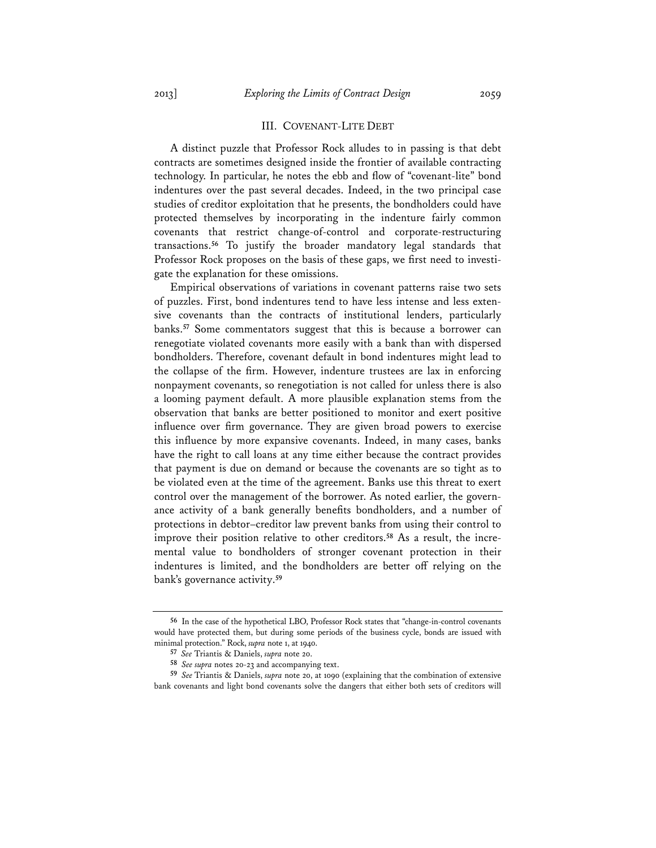#### III. COVENANT-LITE DEBT

A distinct puzzle that Professor Rock alludes to in passing is that debt contracts are sometimes designed inside the frontier of available contracting technology. In particular, he notes the ebb and flow of "covenant-lite" bond indentures over the past several decades. Indeed, in the two principal case studies of creditor exploitation that he presents, the bondholders could have protected themselves by incorporating in the indenture fairly common covenants that restrict change-of-control and corporate-restructuring transactions.**<sup>56</sup>** To justify the broader mandatory legal standards that Professor Rock proposes on the basis of these gaps, we first need to investigate the explanation for these omissions.

Empirical observations of variations in covenant patterns raise two sets of puzzles. First, bond indentures tend to have less intense and less extensive covenants than the contracts of institutional lenders, particularly banks.**<sup>57</sup>** Some commentators suggest that this is because a borrower can renegotiate violated covenants more easily with a bank than with dispersed bondholders. Therefore, covenant default in bond indentures might lead to the collapse of the firm. However, indenture trustees are lax in enforcing nonpayment covenants, so renegotiation is not called for unless there is also a looming payment default. A more plausible explanation stems from the observation that banks are better positioned to monitor and exert positive influence over firm governance. They are given broad powers to exercise this influence by more expansive covenants. Indeed, in many cases, banks have the right to call loans at any time either because the contract provides that payment is due on demand or because the covenants are so tight as to be violated even at the time of the agreement. Banks use this threat to exert control over the management of the borrower. As noted earlier, the governance activity of a bank generally benefits bondholders, and a number of protections in debtor–creditor law prevent banks from using their control to improve their position relative to other creditors.**58** As a result, the incremental value to bondholders of stronger covenant protection in their indentures is limited, and the bondholders are better off relying on the bank's governance activity.**<sup>59</sup>**

**<sup>56</sup>** In the case of the hypothetical LBO, Professor Rock states that "change-in-control covenants would have protected them, but during some periods of the business cycle, bonds are issued with minimal protection." Rock, *supra* note 1, at 1940.

**<sup>57</sup>** *See* Triantis & Daniels, *supra* note 20.

**<sup>58</sup>** *See supra* notes 20-23 and accompanying text.

**<sup>59</sup>** *See* Triantis & Daniels, *supra* note 20, at 1090 (explaining that the combination of extensive bank covenants and light bond covenants solve the dangers that either both sets of creditors will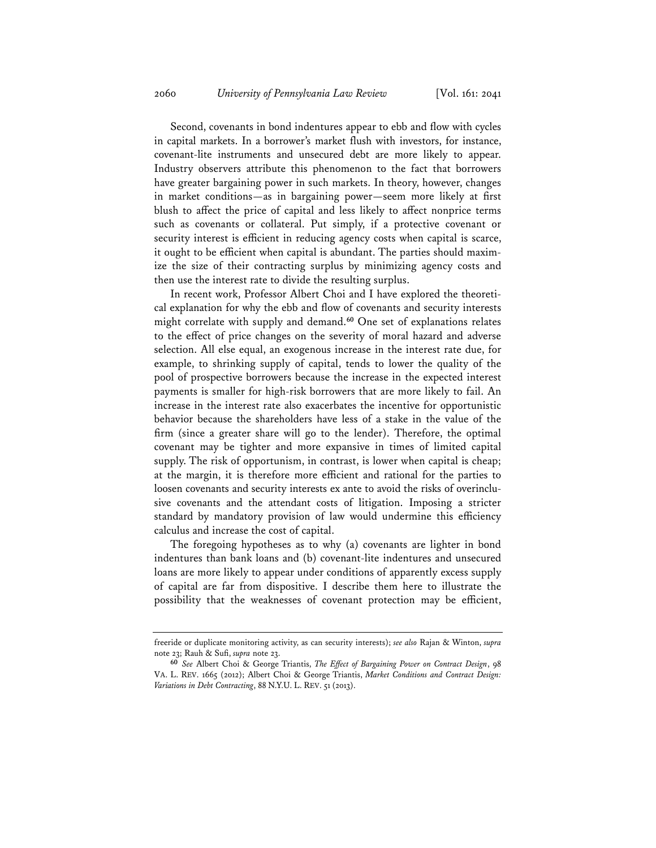Second, covenants in bond indentures appear to ebb and flow with cycles in capital markets. In a borrower's market flush with investors, for instance, covenant-lite instruments and unsecured debt are more likely to appear. Industry observers attribute this phenomenon to the fact that borrowers have greater bargaining power in such markets. In theory, however, changes in market conditions—as in bargaining power—seem more likely at first blush to affect the price of capital and less likely to affect nonprice terms such as covenants or collateral. Put simply, if a protective covenant or security interest is efficient in reducing agency costs when capital is scarce, it ought to be efficient when capital is abundant. The parties should maximize the size of their contracting surplus by minimizing agency costs and then use the interest rate to divide the resulting surplus.

In recent work, Professor Albert Choi and I have explored the theoretical explanation for why the ebb and flow of covenants and security interests might correlate with supply and demand.**<sup>60</sup>** One set of explanations relates to the effect of price changes on the severity of moral hazard and adverse selection. All else equal, an exogenous increase in the interest rate due, for example, to shrinking supply of capital, tends to lower the quality of the pool of prospective borrowers because the increase in the expected interest payments is smaller for high-risk borrowers that are more likely to fail. An increase in the interest rate also exacerbates the incentive for opportunistic behavior because the shareholders have less of a stake in the value of the firm (since a greater share will go to the lender). Therefore, the optimal covenant may be tighter and more expansive in times of limited capital supply. The risk of opportunism, in contrast, is lower when capital is cheap; at the margin, it is therefore more efficient and rational for the parties to loosen covenants and security interests ex ante to avoid the risks of overinclusive covenants and the attendant costs of litigation. Imposing a stricter standard by mandatory provision of law would undermine this efficiency calculus and increase the cost of capital.

The foregoing hypotheses as to why (a) covenants are lighter in bond indentures than bank loans and (b) covenant-lite indentures and unsecured loans are more likely to appear under conditions of apparently excess supply of capital are far from dispositive. I describe them here to illustrate the possibility that the weaknesses of covenant protection may be efficient,

freeride or duplicate monitoring activity, as can security interests); *see also* Rajan & Winton, *supra* note 23; Rauh & Sufi, *supra* note 23.

**<sup>60</sup>** *See* Albert Choi & George Triantis, *The E\$ect of Bargaining Power on Contract Design*, 98 VA. L. REV. 1665 (2012); Albert Choi & George Triantis, *Market Conditions and Contract Design: Variations in Debt Contracting*, 88 N.Y.U. L. REV. 51 (2013).